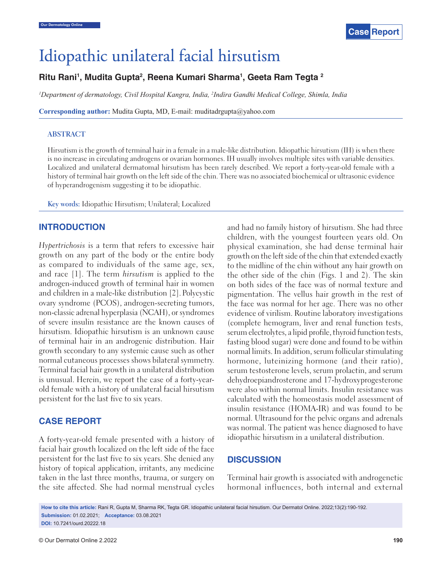

# Idiopathic unilateral facial hirsutism

## **Ritu Rani1 , Mudita Gupta2 , Reena Kumari Sharma1 , Geeta Ram Tegta 2**

*1 Department of dermatology, Civil Hospital Kangra, India, 2 Indira Gandhi Medical College, Shimla, India*

**Corresponding author:** Mudita Gupta, MD, E-mail: muditadrgupta@yahoo.com

#### **ABSTRACT**

Hirsutism is the growth of terminal hair in a female in a male-like distribution. Idiopathic hirsutism (IH) is when there is no increase in circulating androgens or ovarian hormones. IH usually involves multiple sites with variable densities. Localized and unilateral dermatomal hirsutism has been rarely described. We report a forty-year-old female with a history of terminal hair growth on the left side of the chin. There was no associated biochemical or ultrasonic evidence of hyperandrogenism suggesting it to be idiopathic.

**Key words:** Idiopathic Hirsutism; Unilateral; Localized

### **INTRODUCTION**

*Hypertrichosis* is a term that refers to excessive hair growth on any part of the body or the entire body as compared to individuals of the same age, sex, and race [1]. The term *hirsutism* is applied to the androgen-induced growth of terminal hair in women and children in a male-like distribution [2]. Polycystic ovary syndrome (PCOS), androgen-secreting tumors, non-classic adrenal hyperplasia (NCAH), or syndromes of severe insulin resistance are the known causes of hirsutism. Idiopathic hirsutism is an unknown cause of terminal hair in an androgenic distribution. Hair growth secondary to any systemic cause such as other normal cutaneous processes shows bilateral symmetry. Terminal facial hair growth in a unilateral distribution is unusual. Herein, we report the case of a forty-yearold female with a history of unilateral facial hirsutism persistent for the last five to six years.

### **CASE REPORT**

A forty-year-old female presented with a history of facial hair growth localized on the left side of the face persistent for the last five to six years. She denied any history of topical application, irritants, any medicine taken in the last three months, trauma, or surgery on the site affected. She had normal menstrual cycles and had no family history of hirsutism. She had three children, with the youngest fourteen years old. On physical examination, she had dense terminal hair growth on the left side of the chin that extended exactly to the midline of the chin without any hair growth on the other side of the chin (Figs. 1 and 2). The skin on both sides of the face was of normal texture and pigmentation. The vellus hair growth in the rest of the face was normal for her age. There was no other evidence of virilism. Routine laboratory investigations (complete hemogram, liver and renal function tests, serum electrolytes, a lipid profile, thyroid function tests, fasting blood sugar) were done and found to be within normal limits. In addition, serum follicular stimulating hormone, luteinizing hormone (and their ratio), serum testosterone levels, serum prolactin, and serum dehydroepiandrosterone and 17-hydroxyprogesterone were also within normal limits. Insulin resistance was calculated with the homeostasis model assessment of insulin resistance (HOMA-IR) and was found to be normal. Ultrasound for the pelvic organs and adrenals was normal. The patient was hence diagnosed to have idiopathic hirsutism in a unilateral distribution.

#### **DISCUSSION**

Terminal hair growth is associated with androgenetic hormonal influences, both internal and external

**How to cite this article:** Rani R, Gupta M, Sharma RK, Tegta GR. Idiopathic unilateral facial hirsutism. Our Dermatol Online. 2022;13(2):190-192. **Submission:** 01.02.2021; **Acceptance:** 03.08.2021 **DOI:** 10.7241/ourd.20222.18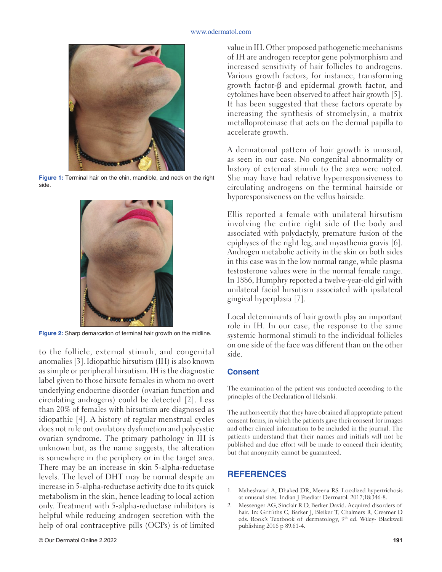#### www.odermatol.com



**Figure 1:** Terminal hair on the chin, mandible, and neck on the right side.



**Figure 2:** Sharp demarcation of terminal hair growth on the midline.

to the follicle, external stimuli, and congenital anomalies [3].Idiopathic hirsutism (IH) is also known as simple or peripheral hirsutism. IH is the diagnostic label given to those hirsute females in whom no overt underlying endocrine disorder (ovarian function and circulating androgens) could be detected [2]. Less than 20% of females with hirsutism are diagnosed as idiopathic [4]. A history of regular menstrual cycles does not rule out ovulatory dysfunction and polycystic ovarian syndrome. The primary pathology in IH is unknown but, as the name suggests, the alteration is somewhere in the periphery or in the target area. There may be an increase in skin 5-alpha-reductase levels. The level of DHT may be normal despite an increase in 5-alpha-reductase activity due to its quick metabolism in the skin, hence leading to local action only. Treatment with 5-alpha-reductase inhibitors is helpful while reducing androgen secretion with the help of oral contraceptive pills (OCPs) is of limited

value in IH. Other proposed pathogenetic mechanisms of IH are androgen receptor gene polymorphism and increased sensitivity of hair follicles to androgens. Various growth factors, for instance, transforming growth factor-β and epidermal growth factor, and cytokines have been observed to affect hair growth [5]. It has been suggested that these factors operate by increasing the synthesis of stromelysin, a matrix metalloproteinase that acts on the dermal papilla to accelerate growth.

A dermatomal pattern of hair growth is unusual, as seen in our case. No congenital abnormality or history of external stimuli to the area were noted. She may have had relative hyperresponsiveness to circulating androgens on the terminal hairside or hyporesponsiveness on the vellus hairside.

Ellis reported a female with unilateral hirsutism involving the entire right side of the body and associated with polydactyly, premature fusion of the epiphyses of the right leg, and myasthenia gravis [6]. Androgen metabolic activity in the skin on both sides in this case was in the low normal range, while plasma testosterone values were in the normal female range. In 1886, Humphry reported a twelve-year-old girl with unilateral facial hirsutism associated with ipsilateral gingival hyperplasia [7].

Local determinants of hair growth play an important role in IH. In our case, the response to the same systemic hormonal stimuli to the individual follicles on one side of the face was different than on the other side.

#### **Consent**

The examination of the patient was conducted according to the principles of the Declaration of Helsinki.

The authors certify that they have obtained all appropriate patient consent forms, in which the patients gave their consent for images and other clinical information to be included in the journal. The patients understand that their names and initials will not be published and due effort will be made to conceal their identity, but that anonymity cannot be guaranteed.

## **REFERENCES**

- 1. Maheshwari A, Dhaked DR, Meena RS. Localized hypertrichosis at unusual sites. Indian J Paediatr Dermatol. 2017;18:346-8.
- 2. Messenger AG, Sinclair R D, Berker David. Acquired disorders of hair. In: Griffiths C, Barker J, Bleiker T, Chalmers R, Creamer D eds. Rook's Textbook of dermatology, 9<sup>th</sup> ed. Wiley- Blackwell publishing 2016 p 89.61-4.